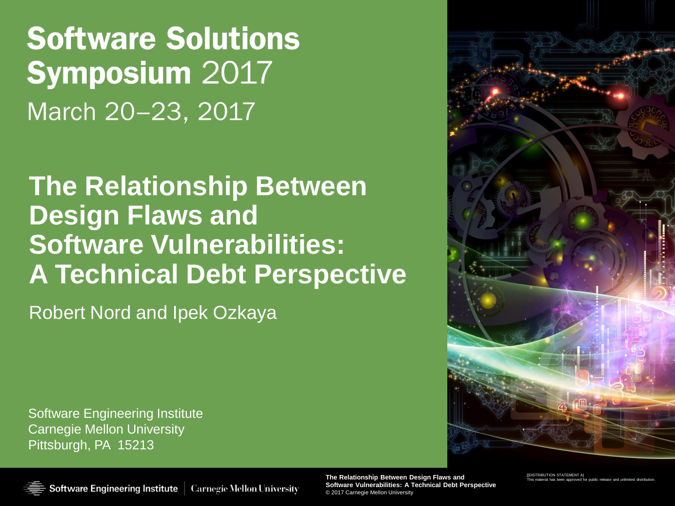# **Software Solutions Symposium 2017** March 20-23, 2017

### **The Relationship Between Design Flaws and Software Vulnerabilities: A Technical Debt Perspective**

Robert Nord and Ipek Ozkaya

Software Engineering Institute Carnegie Mellon University Pittsburgh, PA 15213



**The Relationship Between Design Flaws and The Relationship Between Design Flaws and Software Vulnerabilities: A Technical Debt Perspective Software Vulnerabilities: A Technical Debt Perspective** © 2017 Carnegie Mellon University

[[DISTRIBUTION STATEMENT [[DISTRIBUTION STATEMENT A] This material has been approved for public release and unlimited distribution.

Software Engineering Institute | Carnegie Mellon University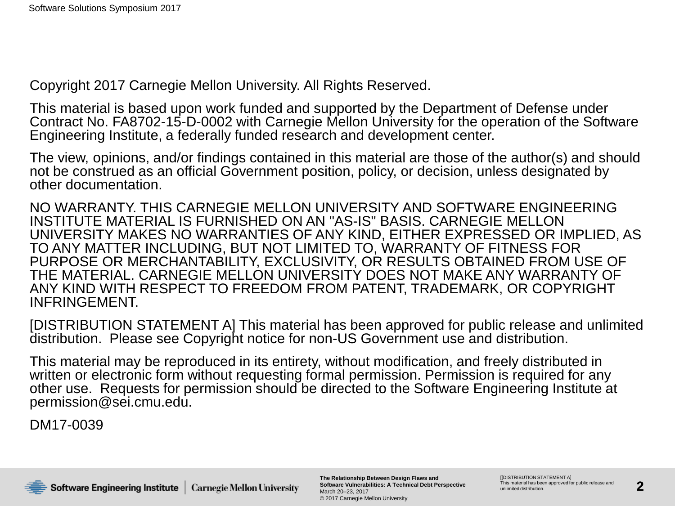Copyright 2017 Carnegie Mellon University. All Rights Reserved.

This material is based upon work funded and supported by the Department of Defense under Contract No. FA8702-15-D-0002 with Carnegie Mellon University for the operation of the Software Engineering Institute, a federally funded research and development center.

The view, opinions, and/or findings contained in this material are those of the author(s) and should not be construed as an official Government position, policy, or decision, unless designated by other documentation.

NO WARRANTY. THIS CARNEGIE MELLON UNIVERSITY AND SOFTWARE ENGINEERING INSTITUTE MATERIAL IS FURNISHED ON AN "AS-IS" BASIS. CARNEGIE MELLON UNIVERSITY MAKES NO WARRANTIES OF ANY KIND, EITHER EXPRESSED OR IMPLIED, AS TO ANY MATTER INCLUDING, BUT NOT LIMITED TO, WARRANTY OF FITNESS FOR PURPOSE OR MERCHANTABILITY, EXCLUSIVITY, OR RESULTS OBTAINED FROM USE OF THE MATERIAL. CARNEGIE MELLON UNIVERSITY DOES NOT MAKE ANY WARRANTY OF ANY KIND WITH RESPECT TO FREEDOM FROM PATENT, TRADEMARK, OR COPYRIGHT INFRINGEMENT.

[DISTRIBUTION STATEMENT A] This material has been approved for public release and unlimited distribution. Please see Copyright notice for non-US Government use and distribution.

This material may be reproduced in its entirety, without modification, and freely distributed in written or electronic form without requesting formal permission. Permission is required for any other use. Requests for permission should be directed to the Software Engineering Institute at permission@sei.cmu.edu.

DM17-0039

**The Relationship Between Design Flaws and Software Vulnerabilities: A Technical Debt Perspective** March 20–23, 2017 © 2017 Carnegie Mellon University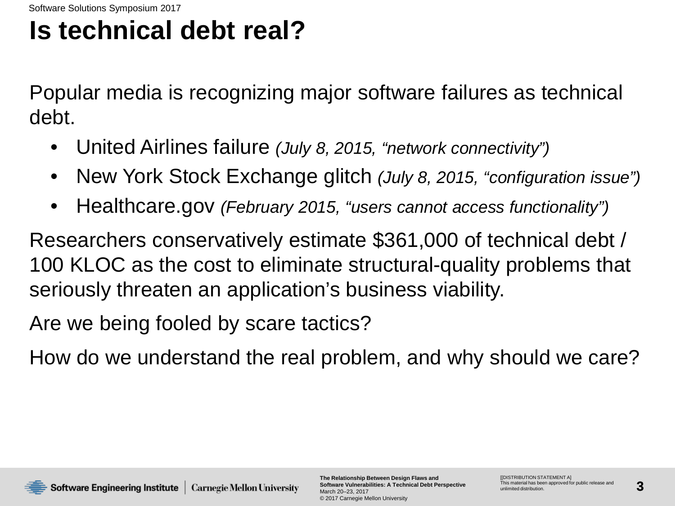## **Is technical debt real?**

Popular media is recognizing major software failures as technical debt.

- United Airlines failure *(July 8, 2015, "network connectivity")*
- New York Stock Exchange glitch *(July 8, 2015, "configuration issue")*
- Healthcare.gov *(February 2015, "users cannot access functionality")*

Researchers conservatively estimate \$361,000 of technical debt / 100 KLOC as the cost to eliminate structural-quality problems that seriously threaten an application's business viability.

Are we being fooled by scare tactics?

How do we understand the real problem, and why should we care?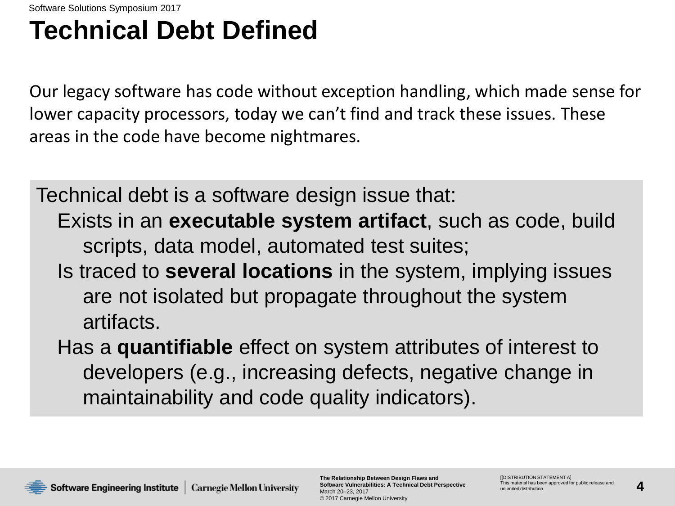## **Technical Debt Defined**

Our legacy software has code without exception handling, which made sense for lower capacity processors, today we can't find and track these issues. These areas in the code have become nightmares.

Technical debt is a software design issue that: Exists in an **executable system artifact**, such as code, build scripts, data model, automated test suites;

- Is traced to **several locations** in the system, implying issues are not isolated but propagate throughout the system artifacts.
- Has a **quantifiable** effect on system attributes of interest to developers (e.g., increasing defects, negative change in maintainability and code quality indicators).

**Software Engineering Institute** | Carnegie Mellon University

**The Relationship Between Design Flaws and Software Vulnerabilities: A Technical Debt Perspective** March 20–23, 2017 © 2017 Carnegie Mellon University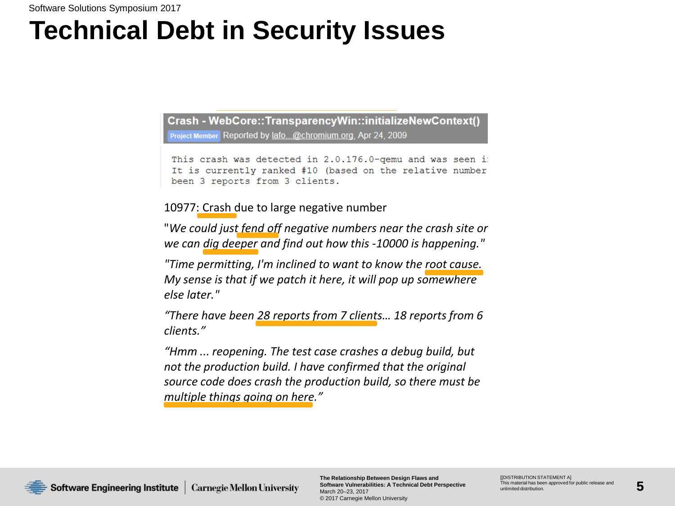## **Technical Debt in Security Issues**

Crash - WebCore::TransparencyWin::initializeNewContext() Project Member Reported by lafo...@chromium.org. Apr 24, 2009

This crash was detected in 2.0.176.0-qemu and was seen i: It is currently ranked #10 (based on the relative number been 3 reports from 3 clients.

10977: Crash due to large negative number

"*We could just fend off negative numbers near the crash site or we can dig deeper and find out how this -10000 is happening."*

*"Time permitting, I'm inclined to want to know the root cause. My sense is that if we patch it here, it will pop up somewhere else later."* 

*"There have been 28 reports from 7 clients… 18 reports from 6 clients."*

*"Hmm ... reopening. The test case crashes a debug build, but not the production build. I have confirmed that the original source code does crash the production build, so there must be multiple things going on here."*

**Software Engineering Institute** | Carnegie Mellon University

**The Relationship Between Design Flaws and Software Vulnerabilities: A Technical Debt Perspective** March 20–23, 2017 © 2017 Carnegie Mellon University

**IIDISTRIBUTION STATEMENT AI** This material has been approved for public release and unlimited distribution.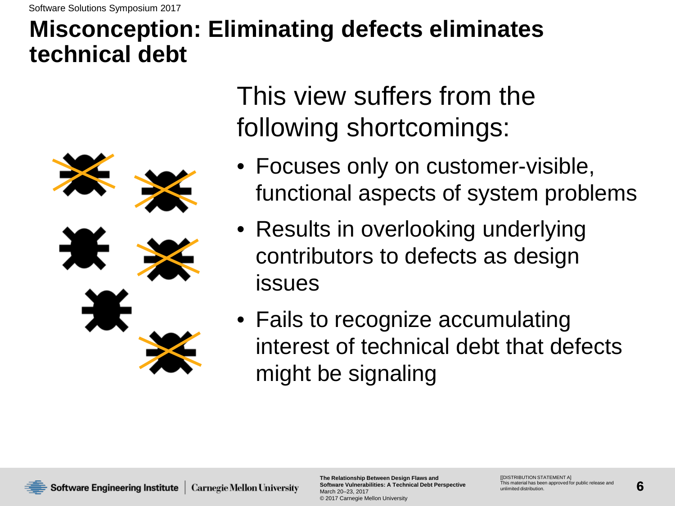### **Misconception: Eliminating defects eliminates technical debt**



This view suffers from the following shortcomings:

- Focuses only on customer-visible, functional aspects of system problems
- Results in overlooking underlying contributors to defects as design issues
- Fails to recognize accumulating interest of technical debt that defects might be signaling

**The Relationship Between Design Flaws and Software Vulnerabilities: A Technical Debt Perspective** March 20–23, 2017 © 2017 Carnegie Mellon University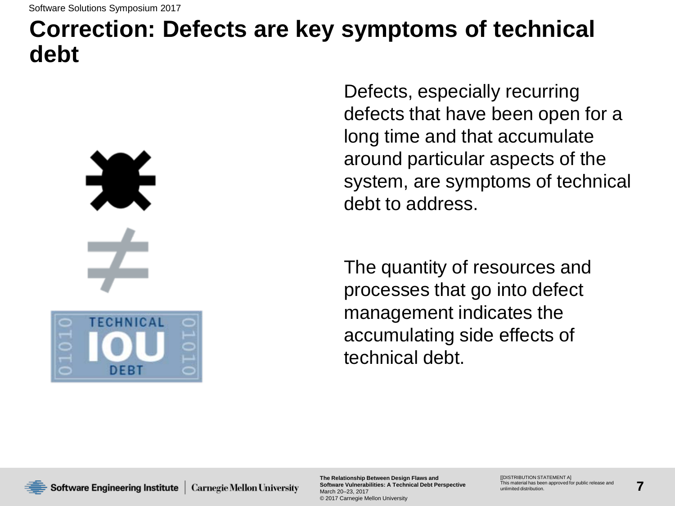### **Correction: Defects are key symptoms of technical debt**

**TECHNICAL DEB1** 

Defects, especially recurring defects that have been open for a long time and that accumulate around particular aspects of the system, are symptoms of technical debt to address.

The quantity of resources and processes that go into defect management indicates the accumulating side effects of technical debt.

**Software Engineering Institute** | Carnegie Mellon University

**The Relationship Between Design Flaws and Software Vulnerabilities: A Technical Debt Perspective** March 20–23, 2017 © 2017 Carnegie Mellon University

**IIDISTRIBUTION STATEMENT AI** This material has been approved for public release and unlimited distribution.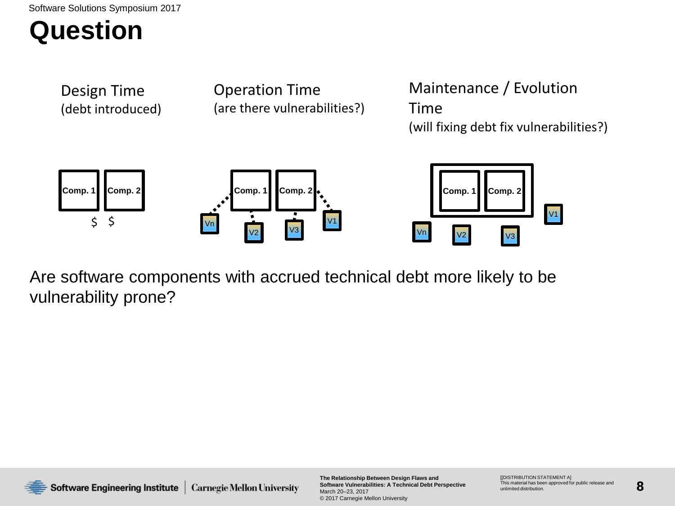### **Question**



Are software components with accrued technical debt more likely to be vulnerability prone?



**The Relationship Between Design Flaws and Software Vulnerabilities: A Technical Debt Perspective** March 20–23, 2017 © 2017 Carnegie Mellon University

**IIDISTRIBUTION STATEMENT AI** This material has been approved for public release and unlimited distribution.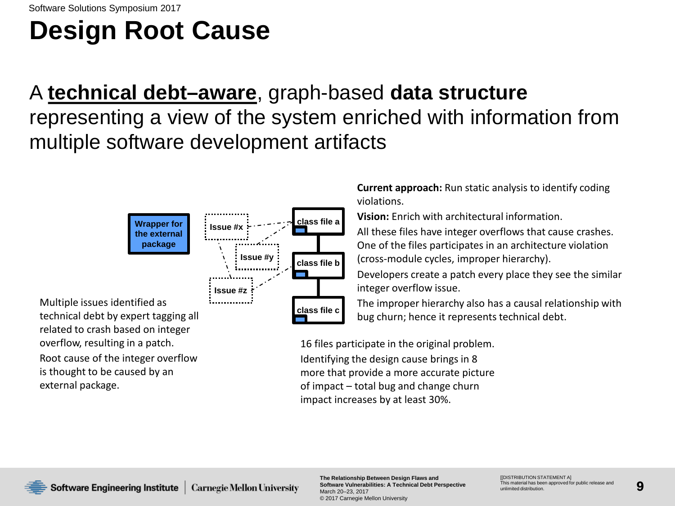# **Design Root Cause**

### A **technical debt–aware**, graph-based **data structure** representing a view of the system enriched with information from multiple software development artifacts



Multiple issues identified as technical debt by expert tagging all related to crash based on integer overflow, resulting in a patch. Root cause of the integer overflow

is thought to be caused by an external package.

**Current approach:** Run static analysis to identify coding violations.

**Vision:** Enrich with architectural information.

All these files have integer overflows that cause crashes. One of the files participates in an architecture violation (cross-module cycles, improper hierarchy).

Developers create a patch every place they see the similar integer overflow issue.

The improper hierarchy also has a causal relationship with bug churn; hence it represents technical debt.

16 files participate in the original problem. Identifying the design cause brings in 8 more that provide a more accurate picture of impact – total bug and change churn impact increases by at least 30%.

**The Relationship Between Design Flaws and Software Vulnerabilities: A Technical Debt Perspective** March 20–23, 2017 © 2017 Carnegie Mellon University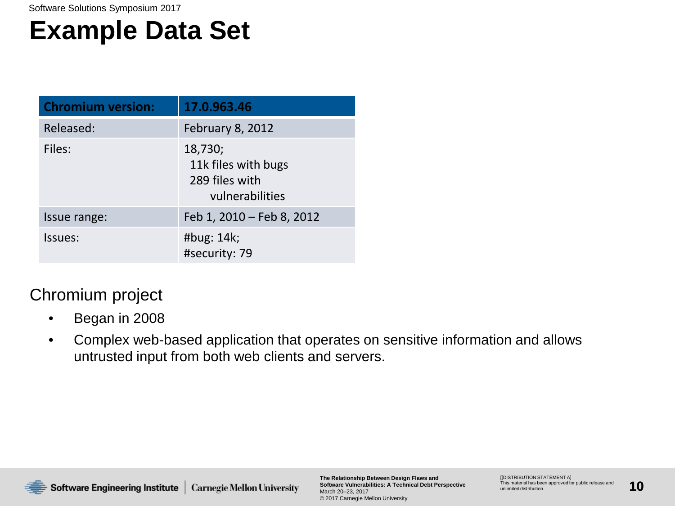### **Example Data Set**

| <b>Chromium version:</b> | 17.0.963.46                                                         |
|--------------------------|---------------------------------------------------------------------|
| Released:                | February 8, 2012                                                    |
| Files:                   | 18,730;<br>11k files with bugs<br>289 files with<br>vulnerabilities |
| Issue range:             | Feb 1, 2010 - Feb 8, 2012                                           |
| Issues:                  | #bug: 14k;<br>#security: 79                                         |

#### Chromium project

- Began in 2008
- Complex web-based application that operates on sensitive information and allows untrusted input from both web clients and servers.

Software Engineering Institute | Carnegie Mellon University

**The Relationship Between Design Flaws and Software Vulnerabilities: A Technical Debt Perspective** March 20–23, 2017 © 2017 Carnegie Mellon University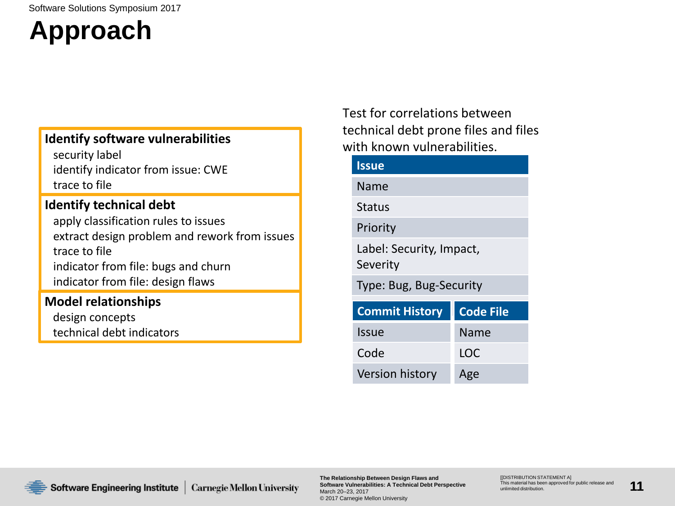## **Approach**

#### **Identify software vulnerabilities**

security label identify indicator from issue: CWE trace to file

#### **Identify technical debt**

apply classification rules to issues extract design problem and rework from issues trace to file indicator from file: bugs and churn indicator from file: design flaws

#### **Model relationships**

design concepts technical debt indicators Test for correlations between technical debt prone files and files with known vulnerabilities.

| <b>Issue</b>                         |                  |  |  |  |
|--------------------------------------|------------------|--|--|--|
| Name                                 |                  |  |  |  |
| <b>Status</b>                        |                  |  |  |  |
| Priority                             |                  |  |  |  |
| Label: Security, Impact,<br>Severity |                  |  |  |  |
| Type: Bug, Bug-Security              |                  |  |  |  |
| <b>Commit History</b>                | <b>Code File</b> |  |  |  |
| Issue                                | Name             |  |  |  |
| Code                                 | LOC              |  |  |  |
| <b>Version history</b>               | Age              |  |  |  |

Software Engineering Institute **Carnegie Mellon University**  **The Relationship Between Design Flaws and Software Vulnerabilities: A Technical Debt Perspective** March 20–23, 2017 © 2017 Carnegie Mellon University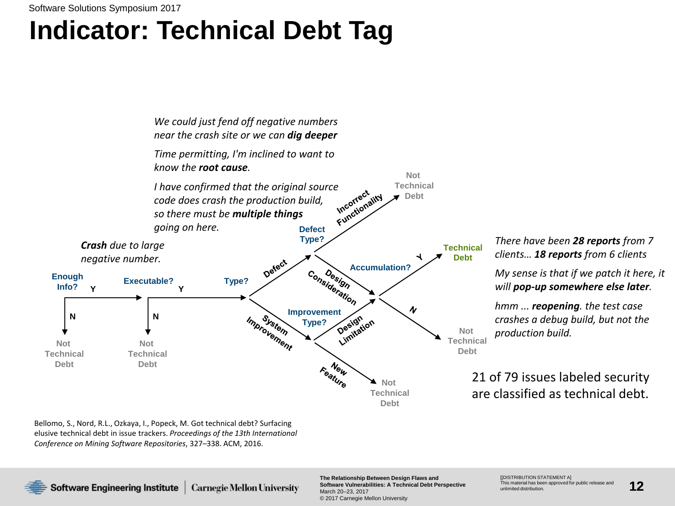## **Indicator: Technical Debt Tag**



Bellomo, S., Nord, R.L., Ozkaya, I., Popeck, M. Got technical debt? Surfacing elusive technical debt in issue trackers. *Proceedings of the 13th International Conference on Mining Software Repositories*, 327–338. ACM, 2016.

**Software Engineering Institute** 

**The Relationship Between Design Flaws and Software Vulnerabilities: A Technical Debt Perspective Carnegie Mellon University** March 20–23, 2017 © 2017 Carnegie Mellon University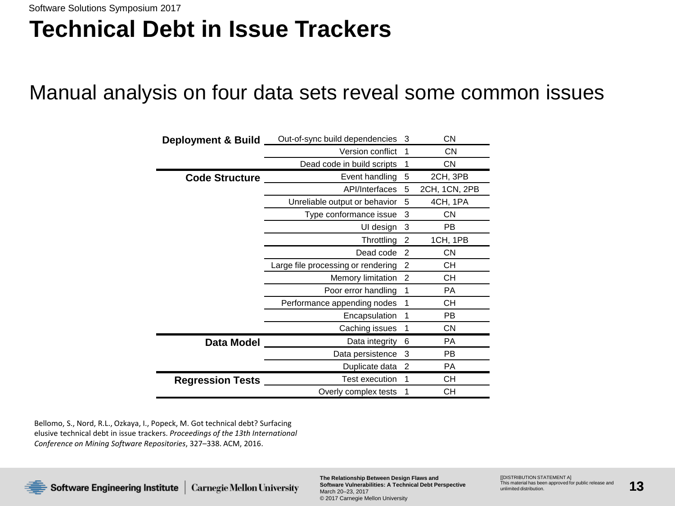### **Technical Debt in Issue Trackers**

### Manual analysis on four data sets reveal some common issues

| <b>Deployment &amp; Build</b> | Out-of-sync build dependencies     | 3 | <b>CN</b>     |
|-------------------------------|------------------------------------|---|---------------|
|                               | Version conflict                   | 1 | <b>CN</b>     |
|                               | Dead code in build scripts         | 1 | <b>CN</b>     |
| <b>Code Structure</b>         | Event handling                     | 5 | 2CH, 3PB      |
|                               | API/Interfaces                     | 5 | 2CH, 1CN, 2PB |
|                               | Unreliable output or behavior      | 5 | 4CH, 1PA      |
|                               | Type conformance issue             | 3 | <b>CN</b>     |
|                               | UI design                          | 3 | PB            |
|                               | Throttling                         | 2 | 1CH, 1PB      |
|                               | Dead code                          | 2 | <b>CN</b>     |
|                               | Large file processing or rendering | 2 | CН            |
|                               | Memory limitation                  | 2 | CН            |
|                               | Poor error handling                | 1 | <b>PA</b>     |
|                               | Performance appending nodes        | 1 | СH            |
|                               | Encapsulation                      | 1 | <b>PB</b>     |
|                               | Caching issues                     | 1 | <b>CN</b>     |
| Data Model                    | Data integrity                     | 6 | <b>PA</b>     |
|                               | Data persistence                   | 3 | PB            |
|                               | Duplicate data                     | 2 | <b>PA</b>     |
| <b>Regression Tests</b>       | <b>Test execution</b>              | 1 | <b>CH</b>     |
|                               | Overly complex tests               | 1 | CН            |

Bellomo, S., Nord, R.L., Ozkaya, I., Popeck, M. Got technical debt? Surfacing elusive technical debt in issue trackers. *Proceedings of the 13th International Conference on Mining Software Repositories*, 327–338. ACM, 2016.



**The Relationship Between Design Flaws and Software Vulnerabilities: A Technical Debt Perspective** March 20–23, 2017 © 2017 Carnegie Mellon University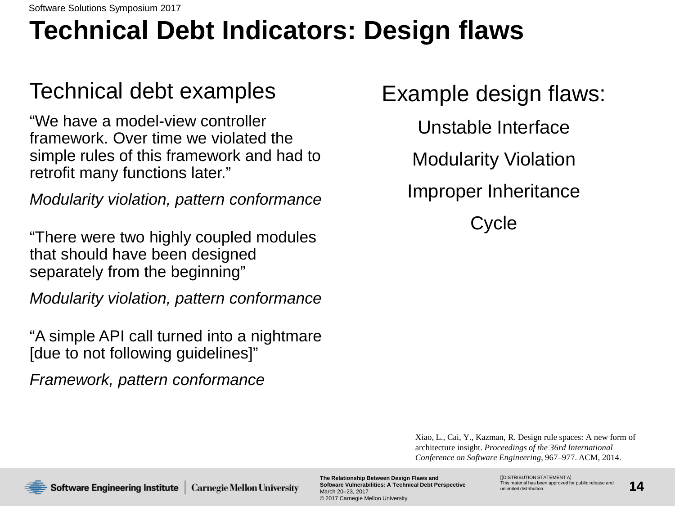# **Technical Debt Indicators: Design flaws**

### Technical debt examples

"We have a model-view controller framework. Over time we violated the simple rules of this framework and had to retrofit many functions later."

*Modularity violation, pattern conformance*

"There were two highly coupled modules that should have been designed separately from the beginning"

*Modularity violation, pattern conformance*

"A simple API call turned into a nightmare [due to not following guidelines]"

*Framework, pattern conformance*

Example design flaws:

Unstable Interface Modularity Violation Improper Inheritance

Cycle

Xiao, L., Cai, Y., Kazman, R. Design rule spaces: A new form of architecture insight. *Proceedings of the 36rd International Conference on Software Engineering*, 967–977. ACM, 2014.

Software Engineering Institute | Carnegie Mellon University

**The Relationship Between Design Flaws and Software Vulnerabilities: A Technical Debt Perspective** March 20–23, 2017 © 2017 Carnegie Mellon University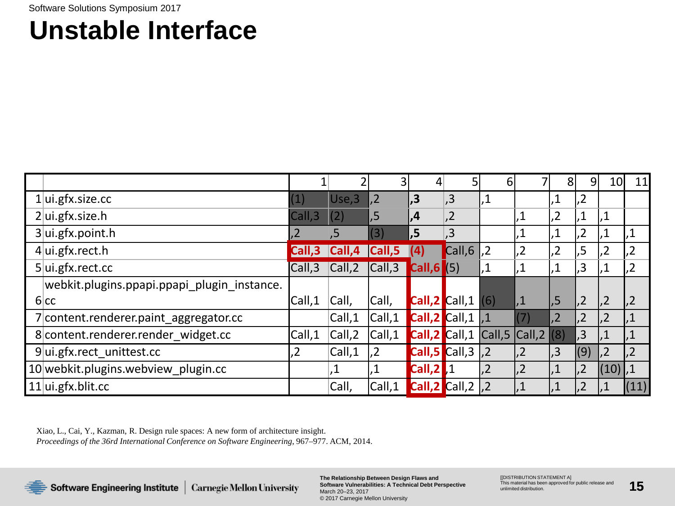### **Unstable Interface**

|                                             |                  |               |                 | 4                                         |                           | 6                       |                 | 81             | 9 <sup>1</sup>  | 10             | 11              |
|---------------------------------------------|------------------|---------------|-----------------|-------------------------------------------|---------------------------|-------------------------|-----------------|----------------|-----------------|----------------|-----------------|
| $1$ ui.gfx.size.cc                          | (1)              | Use,3         | $\overline{.2}$ | $\mathsf{L}.\mathsf{3}$                   | , 3                       |                         |                 | .1             | 1,2             |                |                 |
| $2$ ui.gfx.size.h                           | Call,3           | (2)           | ,5              | $\mathsf{I}$ .4                           | ,2                        |                         | ,1              | $ 2 \rangle$   | 1,              | 1,             |                 |
| $3$ ui.gfx.point.h                          | $\overline{.2}$  | $.5^{\prime}$ | (3)             | .5                                        | $\overline{.}3$           |                         |                 | $\cdot$ 1      | ,2              | 1.1            | ,1              |
| $4$ ui.gfx.rect.h                           | Call,3           | Call,4        | Call,5          |                                           | Call,6                    | $\overline{.2}$         | $\overline{2}$  | 2 <sub>1</sub> | .5              | 2,             | ,2              |
| $5$ ui.gfx.rect.cc                          | Call,3           | Call,2        | Call,3          | Call,6                                    | (5)                       |                         | ,1              |                | , 3             | ,1             | ,2              |
| webkit.plugins.ppapi.ppapi_plugin_instance. |                  |               |                 |                                           |                           |                         |                 |                |                 |                |                 |
| 6 cc                                        | Call,1           | Call,         | Call,           | $\textsf{Call}, 2$ Call, 1 (6)            |                           |                         | ,1              | , 5            | ,2              | $\vert$ ,2     | ,2              |
| 7 content.renderer.paint_aggregator.cc      |                  | Call,1        | Call, 1         | $\textsf{Call}, 2$ $\textsf{Call}, 1$ , 1 |                           |                         | (7)             | ,2             | $\sqrt{2}$      | $\overline{2}$ | ,1              |
| 8 content.renderer.render widget.cc         | Call,1           | Call, 2       | Call,1          | Call,2 Call,1                             |                           | $ Call,5 Call,2 $ $(8)$ |                 |                | $\overline{3}$  |                | ,1              |
| $9$ ui.gfx.rect unittest.cc                 | $2 \overline{2}$ | Call,1        | .2              | Call,5 Call,3                             |                           | $\overline{2}$          | $\overline{.2}$ | $\overline{3}$ | (9)             | 2,             | $\overline{.2}$ |
| 10 webkit.plugins.webview plugin.cc         |                  | $\mathbf 1$   |                 | Call,2                                    |                           | $\overline{.2}$         | $\overline{.2}$ | .1             | $\overline{.2}$ | (10) ,1        |                 |
| $11$ ui.gfx.blit.cc                         |                  | Call,         | Call, 1         | $\operatorname{\sf Call},2$               | Call, $2 \mid$ , $2 \mid$ |                         |                 |                | $\overline{2}$  |                | (11)            |

Xiao, L., Cai, Y., Kazman, R. Design rule spaces: A new form of architecture insight. *Proceedings of the 36rd International Conference on Software Engineering*, 967–977. ACM, 2014.



Software Engineering Institute | Carnegie Mellon University

**The Relationship Between Design Flaws and Software Vulnerabilities: A Technical Debt Perspective** March 20–23, 2017 © 2017 Carnegie Mellon University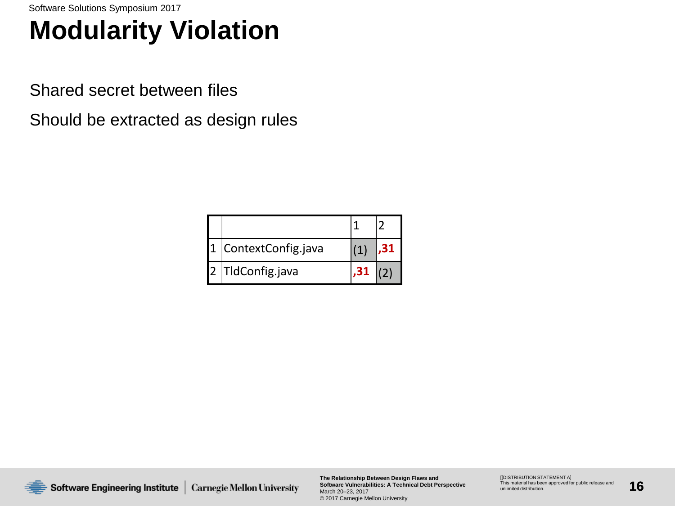## **Modularity Violation**

Shared secret between files

Should be extracted as design rules

| ContextConfig.java |  |
|--------------------|--|
| TIdConfig.java     |  |



**The Relationship Between Design Flaws and Software Vulnerabilities: A Technical Debt Perspective** March 20–23, 2017 © 2017 Carnegie Mellon University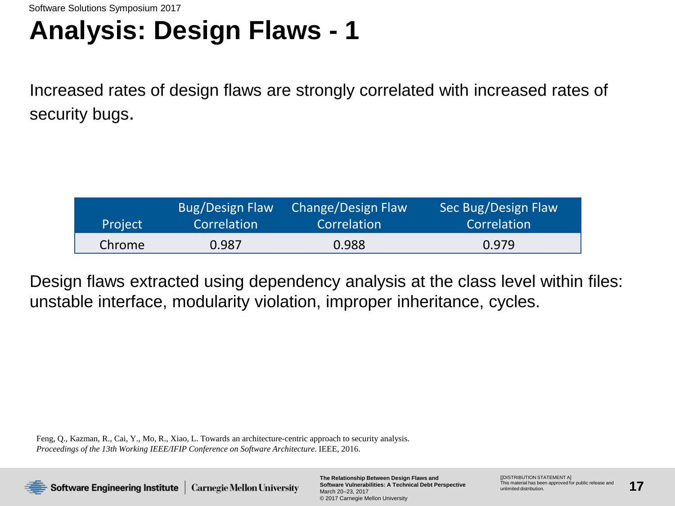### **Analysis: Design Flaws - 1**

Increased rates of design flaws are strongly correlated with increased rates of security bugs.

| Project | Bug/Design Flaw | Change/Design Flaw | Sec Bug/Design Flaw |
|---------|-----------------|--------------------|---------------------|
|         | Correlation     | Correlation        | Correlation         |
| Chrome  | 0.987           | 0.988              | 0.979               |

Design flaws extracted using dependency analysis at the class level within files: unstable interface, modularity violation, improper inheritance, cycles.

Feng, Q., Kazman, R., Cai, Y., Mo, R., Xiao, L. Towards an architecture-centric approach to security analysis. *Proceedings of the 13th Working IEEE/IFIP Conference on Software Architecture*. IEEE, 2016.



**The Relationship Between Design Flaws and Software Vulnerabilities: A Technical Debt Perspective** March 20–23, 2017 © 2017 Carnegie Mellon University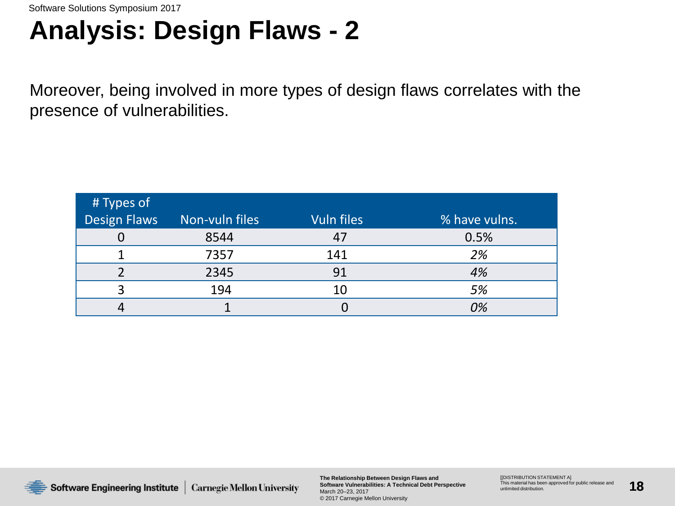### **Analysis: Design Flaws - 2**

Moreover, being involved in more types of design flaws correlates with the presence of vulnerabilities.

| # Types of          |                |                   |               |
|---------------------|----------------|-------------------|---------------|
| <b>Design Flaws</b> | Non-vuln files | <b>Vuln files</b> | % have vulns. |
|                     | 8544           |                   | 0.5%          |
|                     | 7357           | 141               | 2%            |
|                     | 2345           | 91                | 4%            |
| ົ                   | 194            | 10                | 5%            |
|                     |                |                   | 0%            |



**The Relationship Between Design Flaws and Software Vulnerabilities: A Technical Debt Perspective** March 20–23, 2017 © 2017 Carnegie Mellon University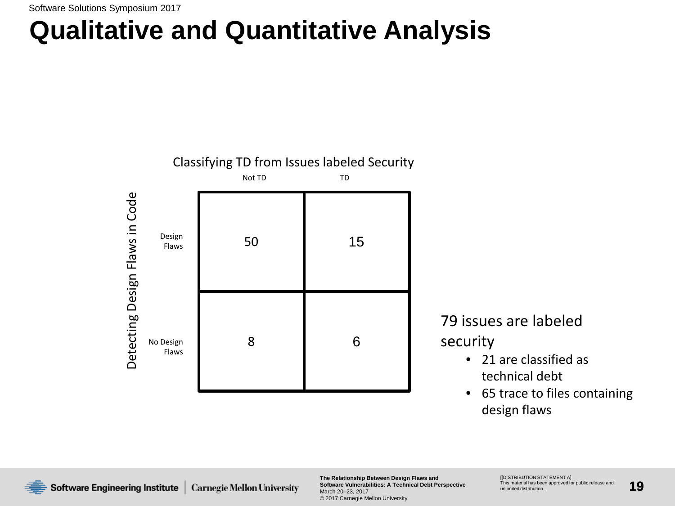## **Qualitative and Quantitative Analysis**



79 issues are labeled

security

- 21 are classified as technical debt
- 65 trace to files containing design flaws

**The Relationship Between Design Flaws and Software Vulnerabilities: A Technical Debt Perspective** March 20–23, 2017 © 2017 Carnegie Mellon University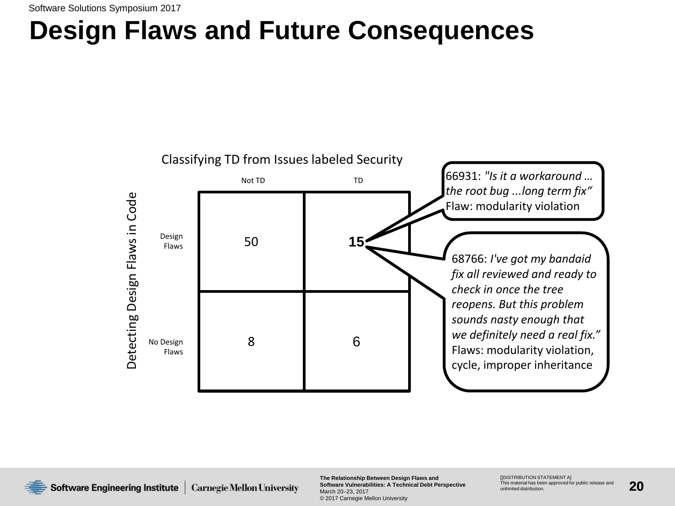### **Design Flaws and Future Consequences**



**The Relationship Between Design Flaws and Software Vulnerabilities: A Technical Debt Perspective** March 20–23, 2017 © 2017 Carnegie Mellon University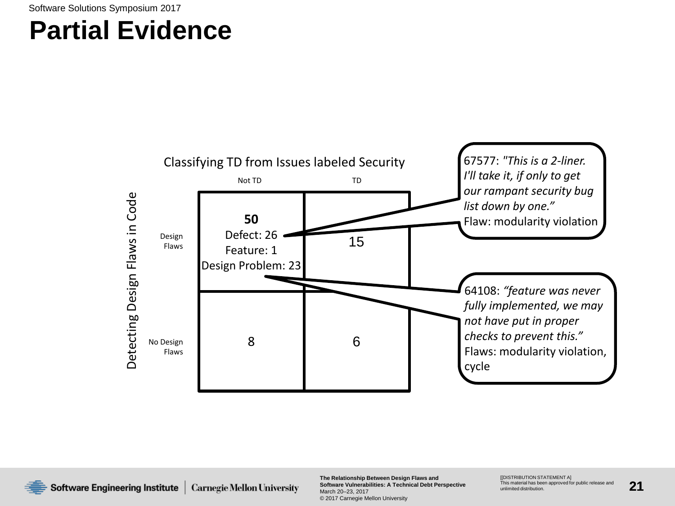### **Partial Evidence**



Software Engineering Institute **Carnegie Mellon University**  **The Relationship Between Design Flaws and Software Vulnerabilities: A Technical Debt Perspective** March 20–23, 2017 © 2017 Carnegie Mellon University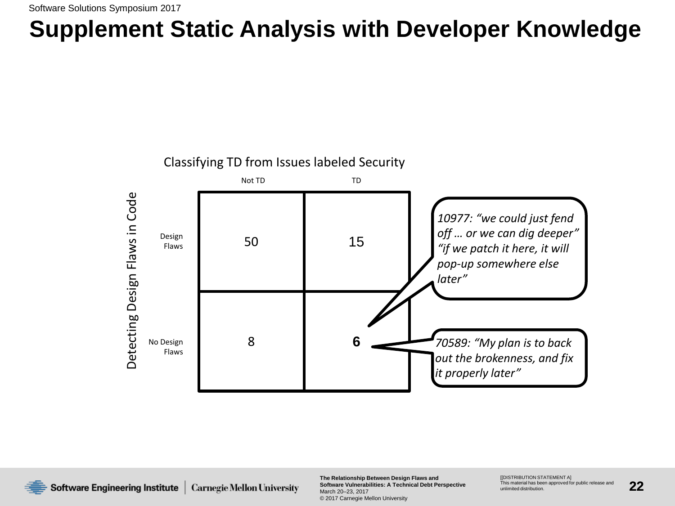### **Supplement Static Analysis with Developer Knowledge**



**The Relationship Between Design Flaws and Software Vulnerabilities: A Technical Debt Perspective** March 20–23, 2017 © 2017 Carnegie Mellon University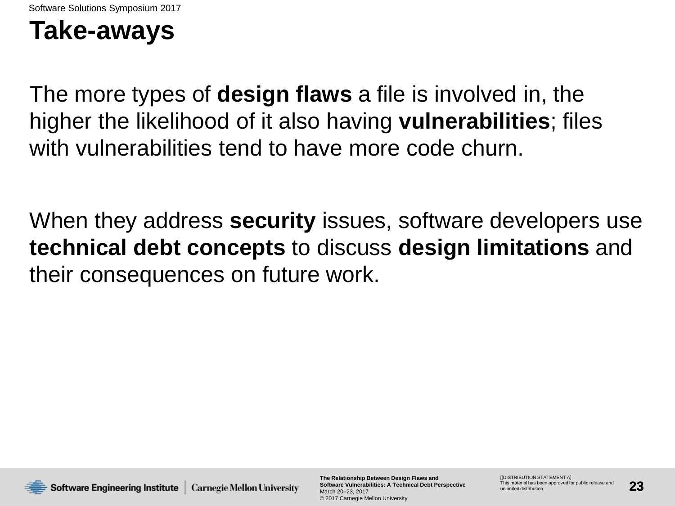### **Take-aways**

The more types of **design flaws** a file is involved in, the higher the likelihood of it also having **vulnerabilities**; files with vulnerabilities tend to have more code churn.

When they address **security** issues, software developers use **technical debt concepts** to discuss **design limitations** and their consequences on future work.



**The Relationship Between Design Flaws and Software Vulnerabilities: A Technical Debt Perspective** March 20–23, 2017 © 2017 Carnegie Mellon University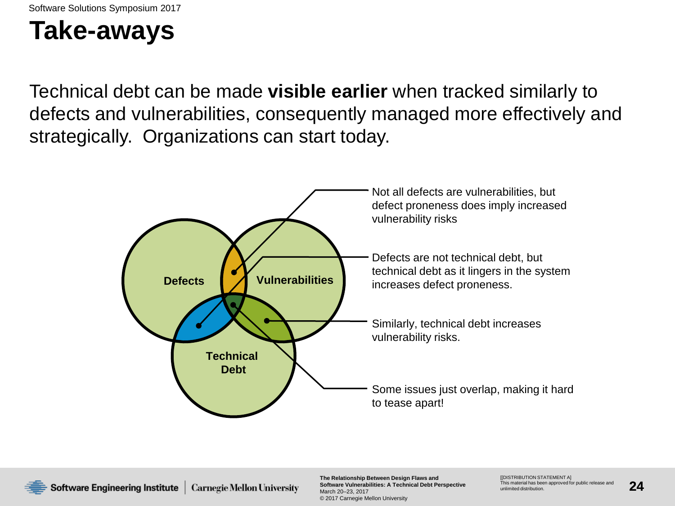### **Take-aways**

Technical debt can be made **visible earlier** when tracked similarly to defects and vulnerabilities, consequently managed more effectively and strategically. Organizations can start today.



**The Relationship Between Design Flaws and Software Vulnerabilities: A Technical Debt Perspective** March 20–23, 2017 © 2017 Carnegie Mellon University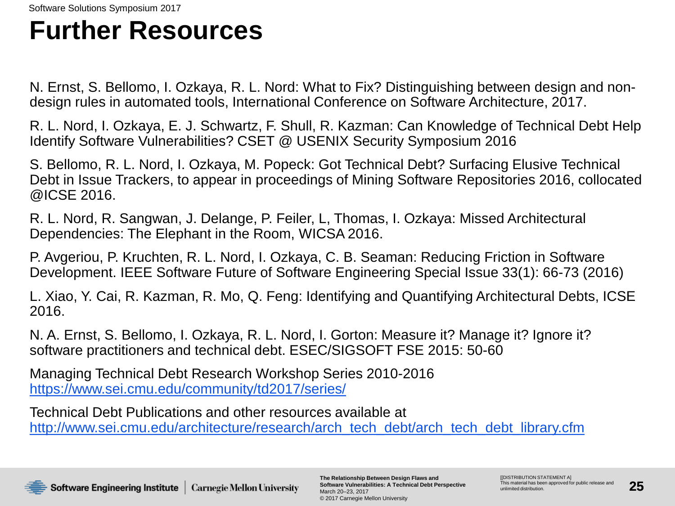### **Further Resources**

N. Ernst, S. Bellomo, I. Ozkaya, R. L. Nord: What to Fix? Distinguishing between design and nondesign rules in automated tools, International Conference on Software Architecture, 2017.

R. L. Nord, I. Ozkaya, E. J. Schwartz, F. Shull, R. Kazman: Can Knowledge of Technical Debt Help Identify Software Vulnerabilities? CSET @ USENIX Security Symposium 2016

S. Bellomo, R. L. Nord, I. Ozkaya, M. Popeck: Got Technical Debt? Surfacing Elusive Technical Debt in Issue Trackers, to appear in proceedings of Mining Software Repositories 2016, collocated @ICSE 2016.

R. L. Nord, R. Sangwan, J. Delange, P. Feiler, L, Thomas, I. Ozkaya: Missed Architectural Dependencies: The Elephant in the Room, WICSA 2016.

P. Avgeriou, P. Kruchten, R. L. Nord, I. Ozkaya, C. B. Seaman: Reducing Friction in Software Development. IEEE Software Future of Software Engineering Special Issue 33(1): 66-73 (2016)

L. Xiao, Y. Cai, R. Kazman, R. Mo, Q. Feng: Identifying and Quantifying Architectural Debts, ICSE 2016.

N. A. Ernst, S. Bellomo, I. Ozkaya, R. L. Nord, I. Gorton: Measure it? Manage it? Ignore it? software practitioners and technical debt. ESEC/SIGSOFT FSE 2015: 50-60

Managing Technical Debt Research Workshop Series 2010-2016 <https://www.sei.cmu.edu/community/td2017/series/>

Technical Debt Publications and other resources available at [http://www.sei.cmu.edu/architecture/research/arch\\_tech\\_debt/arch\\_tech\\_debt\\_library.cfm](http://www.sei.cmu.edu/architecture/research/arch_tech_debt/arch_tech_debt_library.cfm)